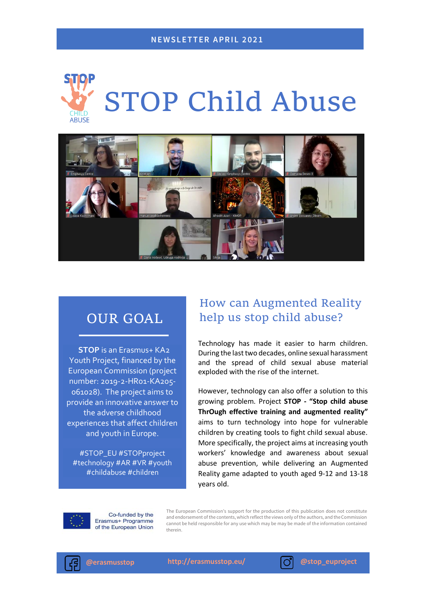



# OUR GOAL

**STOP** is an Erasmus+ KA2 Youth Project, financed by the European Commission (project number: 2019-2-HR01-KA205- 061028). The project aims to provide an innovative answer to the adverse childhood experiences that affect children and youth in Europe.

#STOP\_EU #STOPproject #technology #AR #VR #youth #childabuse #children

## How can Augmented Reality help us stop child abuse?

Technology has made it easier to harm children. During the last two decades, online sexual harassment and the spread of child sexual abuse material exploded with the rise of the internet.

However, technology can also offer a solution to this growing problem. Project **STOP - "Stop child abuse ThrOugh effective training and augmented reality"** aims to turn technology into hope for vulnerable children by creating tools to fight child sexual abuse. More specifically, the project aims at increasing youth workers' knowledge and awareness about sexual abuse prevention, while delivering an Augmented Reality game adapted to youth aged 9-12 and 13-18 years old.



Co-funded by the Erasmus+ Programme of the European Union

The European Commission's support for the production of this publication does not constitute and endorsement of the contents, which reflect the views only of the authors, and the Commission cannot be held responsible for any use which may be may be made of the information contained therein.